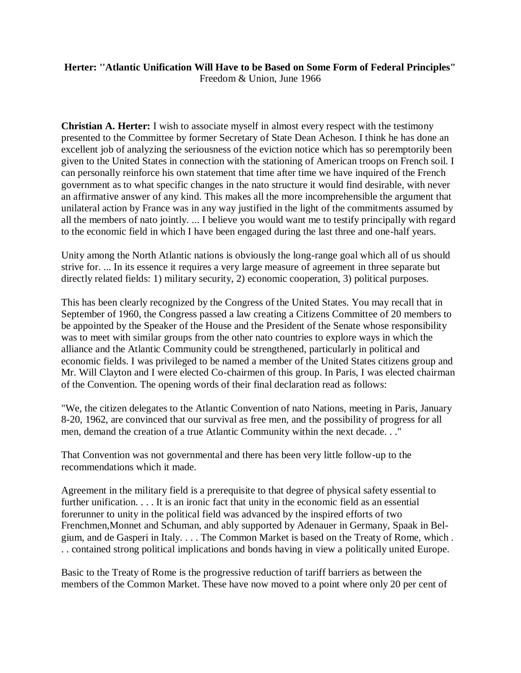## **Herter: ''Atlantic Unification Will Have to be Based on Some Form of Federal Principles"** Freedom & Union, June 1966

**Christian A. Herter:** I wish to associate myself in almost every respect with the testimony presented to the Committee by former Secretary of State Dean Acheson. I think he has done an excellent job of analyzing the seriousness of the eviction notice which has so peremptorily been given to the United States in connection with the stationing of American troops on French soil. I can personally reinforce his own statement that time after time we have inquired of the French government as to what specific changes in the nato structure it would find desirable, with never an affirmative answer of any kind. This makes all the more incomprehensible the argument that unilateral action by France was in any way justified in the light of the commitments assumed by all the members of nato jointly. ... I believe you would want me to testify principally with regard to the economic field in which I have been engaged during the last three and one-half years.

Unity among the North Atlantic nations is obviously the long-range goal which all of us should strive for. ... In its essence it requires a very large measure of agreement in three separate but directly related fields: 1) military security, 2) economic cooperation, 3) political purposes.

This has been clearly recognized by the Congress of the United States. You may recall that in September of 1960, the Congress passed a law creating a Citizens Committee of 20 members to be appointed by the Speaker of the House and the President of the Senate whose responsibility was to meet with similar groups from the other nato countries to explore ways in which the alliance and the Atlantic Community could be strengthened, particularly in political and economic fields. I was privileged to be named a member of the United States citizens group and Mr. Will Clayton and I were elected Co-chairmen of this group. In Paris, I was elected chairman of the Convention. The opening words of their final declaration read as follows:

"We, the citizen delegates to the Atlantic Convention of nato Nations, meeting in Paris, January 8-20, 1962, are convinced that our survival as free men, and the possibility of progress for all men, demand the creation of a true Atlantic Community within the next decade. . ."

That Convention was not governmental and there has been very little follow-up to the recommendations which it made.

Agreement in the military field is a prerequisite to that degree of physical safety essential to further unification. . . . It is an ironic fact that unity in the economic field as an essential forerunner to unity in the political field was advanced by the inspired efforts of two Frenchmen,Monnet and Schuman, and ably supported by Adenauer in Germany, Spaak in Belgium, and de Gasperi in Italy. . . . The Common Market is based on the Treaty of Rome, which . . . contained strong political implications and bonds having in view a politically united Europe.

Basic to the Treaty of Rome is the progressive reduction of tariff barriers as between the members of the Common Market. These have now moved to a point where only 20 per cent of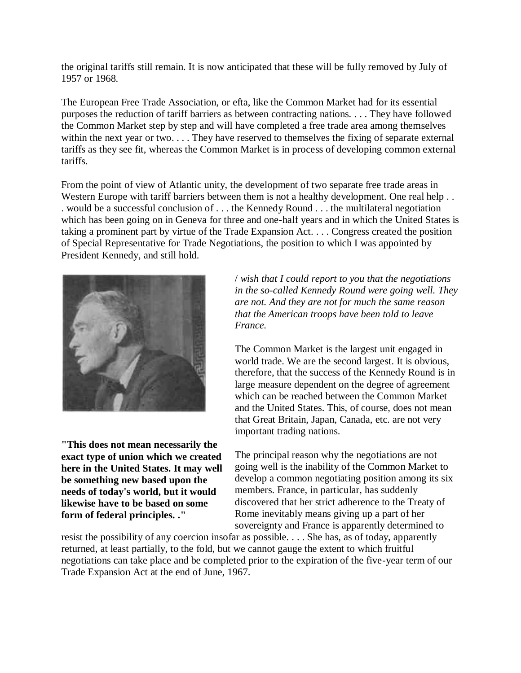the original tariffs still remain. It is now anticipated that these will be fully removed by July of 1957 or 1968.

The European Free Trade Association, or efta, like the Common Market had for its essential purposes the reduction of tariff barriers as between contracting nations. . . . They have followed the Common Market step by step and will have completed a free trade area among themselves within the next year or two. . . . They have reserved to themselves the fixing of separate external tariffs as they see fit, whereas the Common Market is in process of developing common external tariffs.

From the point of view of Atlantic unity, the development of two separate free trade areas in Western Europe with tariff barriers between them is not a healthy development. One real help . . . would be a successful conclusion of . . . the Kennedy Round . . . the multilateral negotiation which has been going on in Geneva for three and one-half years and in which the United States is taking a prominent part by virtue of the Trade Expansion Act. . . . Congress created the position of Special Representative for Trade Negotiations, the position to which I was appointed by President Kennedy, and still hold.



**"This does not mean necessarily the exact type of union which we created here in the United States. It may well be something new based upon the needs of today's world, but it would likewise have to be based on some form of federal principles. ."**

/ *wish that I could report to you that the negotiations in the so-called Kennedy Round were going well. They are not. And they are not for much the same reason that the American troops have been told to leave France.*

The Common Market is the largest unit engaged in world trade. We are the second largest. It is obvious, therefore, that the success of the Kennedy Round is in large measure dependent on the degree of agreement which can be reached between the Common Market and the United States. This, of course, does not mean that Great Britain, Japan, Canada, etc. are not very important trading nations.

The principal reason why the negotiations are not going well is the inability of the Common Market to develop a common negotiating position among its six members. France, in particular, has suddenly discovered that her strict adherence to the Treaty of Rome inevitably means giving up a part of her sovereignty and France is apparently determined to

resist the possibility of any coercion insofar as possible. . . . She has, as of today, apparently returned, at least partially, to the fold, but we cannot gauge the extent to which fruitful negotiations can take place and be completed prior to the expiration of the five-year term of our Trade Expansion Act at the end of June, 1967.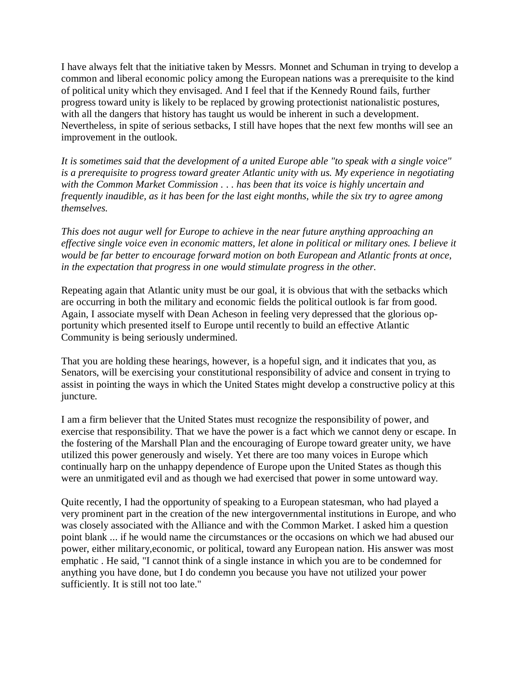I have always felt that the initiative taken by Messrs. Monnet and Schuman in trying to develop a common and liberal economic policy among the European nations was a prerequisite to the kind of political unity which they envisaged. And I feel that if the Kennedy Round fails, further progress toward unity is likely to be replaced by growing protectionist nationalistic postures, with all the dangers that history has taught us would be inherent in such a development. Nevertheless, in spite of serious setbacks, I still have hopes that the next few months will see an improvement in the outlook.

*It is sometimes said that the development of a united Europe able "to speak with a single voice" is a prerequisite to progress toward greater Atlantic unity with us. My experience in negotiating with the Common Market Commission .* . . *has been that its voice is highly uncertain and frequently inaudible, as it has been for the last eight months, while the six try to agree among themselves.*

*This does not augur well for Europe to achieve in the near future anything approaching an effective single voice even in economic matters, let alone in political or military ones. I believe it would be far better to encourage forward motion on both European and Atlantic fronts at once, in the expectation that progress in one would stimulate progress in the other.*

Repeating again that Atlantic unity must be our goal, it is obvious that with the setbacks which are occurring in both the military and economic fields the political outlook is far from good. Again, I associate myself with Dean Acheson in feeling very depressed that the glorious opportunity which presented itself to Europe until recently to build an effective Atlantic Community is being seriously undermined.

That you are holding these hearings, however, is a hopeful sign, and it indicates that you, as Senators, will be exercising your constitutional responsibility of advice and consent in trying to assist in pointing the ways in which the United States might develop a constructive policy at this juncture.

I am a firm believer that the United States must recognize the responsibility of power, and exercise that responsibility. That we have the power is a fact which we cannot deny or escape. In the fostering of the Marshall Plan and the encouraging of Europe toward greater unity, we have utilized this power generously and wisely. Yet there are too many voices in Europe which continually harp on the unhappy dependence of Europe upon the United States as though this were an unmitigated evil and as though we had exercised that power in some untoward way.

Quite recently, I had the opportunity of speaking to a European statesman, who had played a very prominent part in the creation of the new intergovernmental institutions in Europe, and who was closely associated with the Alliance and with the Common Market. I asked him a question point blank ... if he would name the circumstances or the occasions on which we had abused our power, either military,economic, or political, toward any European nation. His answer was most emphatic . He said, "I cannot think of a single instance in which you are to be condemned for anything you have done, but I do condemn you because you have not utilized your power sufficiently. It is still not too late."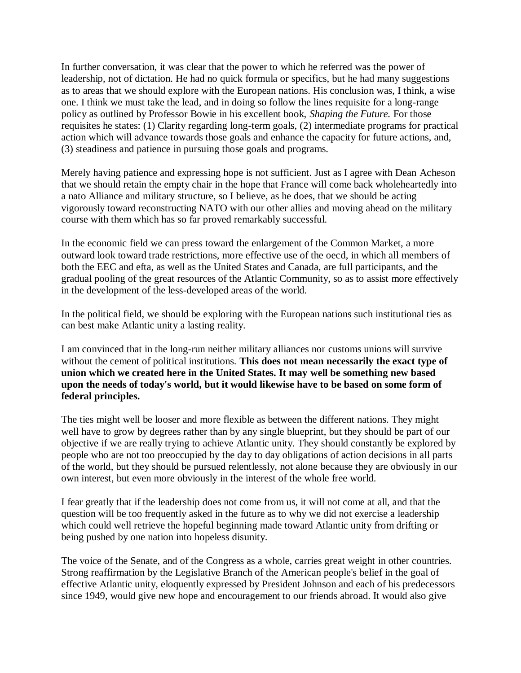In further conversation, it was clear that the power to which he referred was the power of leadership, not of dictation. He had no quick formula or specifics, but he had many suggestions as to areas that we should explore with the European nations. His conclusion was, I think, a wise one. I think we must take the lead, and in doing so follow the lines requisite for a long-range policy as outlined by Professor Bowie in his excellent book, *Shaping the Future.* For those requisites he states: (1) Clarity regarding long-term goals, (2) intermediate programs for practical action which will advance towards those goals and enhance the capacity for future actions, and, (3) steadiness and patience in pursuing those goals and programs.

Merely having patience and expressing hope is not sufficient. Just as I agree with Dean Acheson that we should retain the empty chair in the hope that France will come back wholeheartedly into a nato Alliance and military structure, so I believe, as he does, that we should be acting vigorously toward reconstructing NATO with our other allies and moving ahead on the military course with them which has so far proved remarkably successful.

In the economic field we can press toward the enlargement of the Common Market, a more outward look toward trade restrictions, more effective use of the oecd, in which all members of both the EEC and efta, as well as the United States and Canada, are full participants, and the gradual pooling of the great resources of the Atlantic Community, so as to assist more effectively in the development of the less-developed areas of the world.

In the political field, we should be exploring with the European nations such institutional ties as can best make Atlantic unity a lasting reality.

I am convinced that in the long-run neither military alliances nor customs unions will survive without the cement of political institutions. **This does not mean necessarily the exact type of union which we created here in the United States. It may well be something new based upon the needs of today's world, but it would likewise have to be based on some form of federal principles.**

The ties might well be looser and more flexible as between the different nations. They might well have to grow by degrees rather than by any single blueprint, but they should be part of our objective if we are really trying to achieve Atlantic unity. They should constantly be explored by people who are not too preoccupied by the day to day obligations of action decisions in all parts of the world, but they should be pursued relentlessly, not alone because they are obviously in our own interest, but even more obviously in the interest of the whole free world.

I fear greatly that if the leadership does not come from us, it will not come at all, and that the question will be too frequently asked in the future as to why we did not exercise a leadership which could well retrieve the hopeful beginning made toward Atlantic unity from drifting or being pushed by one nation into hopeless disunity.

The voice of the Senate, and of the Congress as a whole, carries great weight in other countries. Strong reaffirmation by the Legislative Branch of the American people's belief in the goal of effective Atlantic unity, eloquently expressed by President Johnson and each of his predecessors since 1949, would give new hope and encouragement to our friends abroad. It would also give